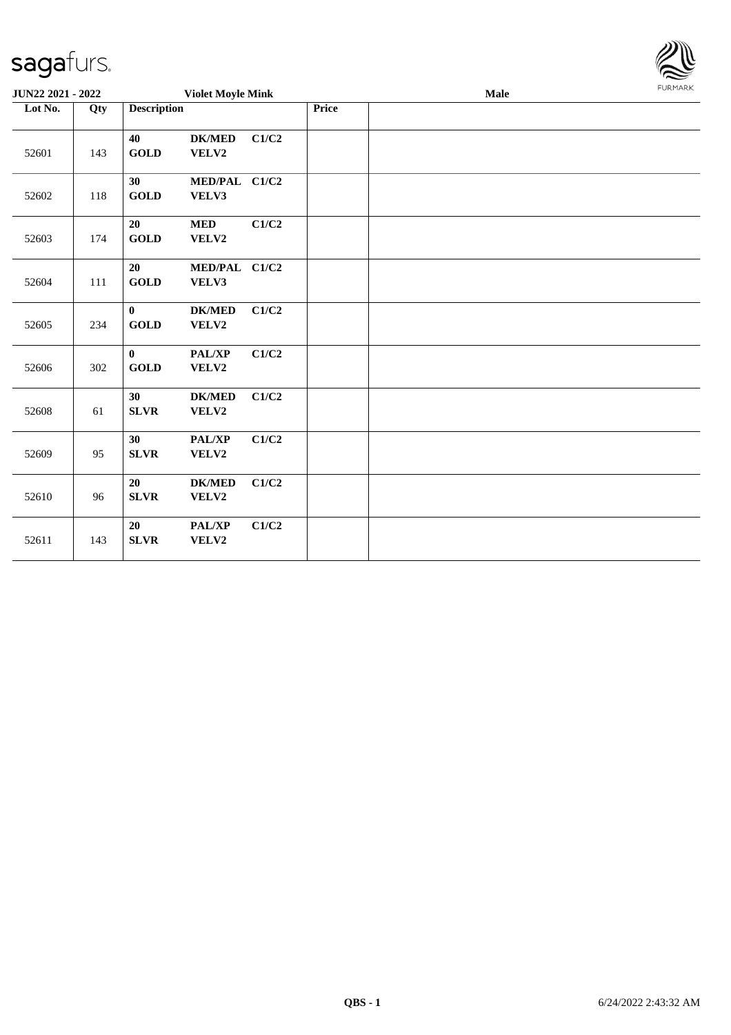| $-$ -y $-$               |     |                             |                          |       |       |      | $\approx$      |
|--------------------------|-----|-----------------------------|--------------------------|-------|-------|------|----------------|
| <b>JUN22 2021 - 2022</b> |     |                             | <b>Violet Moyle Mink</b> |       |       | Male | <b>FURMARK</b> |
| Lot No.                  | Qty | <b>Description</b>          |                          |       | Price |      |                |
| 52601                    | 143 | 40<br><b>GOLD</b>           | <b>DK/MED</b><br>VELV2   | C1/C2 |       |      |                |
| 52602                    | 118 | 30<br><b>GOLD</b>           | MED/PAL C1/C2<br>VELV3   |       |       |      |                |
| 52603                    | 174 | 20<br><b>GOLD</b>           | $\bf MED$<br>VELV2       | C1/C2 |       |      |                |
| 52604                    | 111 | 20<br><b>GOLD</b>           | MED/PAL C1/C2<br>VELV3   |       |       |      |                |
| 52605                    | 234 | $\mathbf{0}$<br><b>GOLD</b> | <b>DK/MED</b><br>VELV2   | C1/C2 |       |      |                |
| 52606                    | 302 | $\bf{0}$<br><b>GOLD</b>     | PAL/XP<br>VELV2          | C1/C2 |       |      |                |
| 52608                    | 61  | 30<br><b>SLVR</b>           | $DK/MED$<br>VELV2        | C1/C2 |       |      |                |
| 52609                    | 95  | 30<br><b>SLVR</b>           | PAL/XP<br>VELV2          | C1/C2 |       |      |                |
| 52610                    | 96  | 20<br>SLVR                  | <b>DK/MED</b><br>VELV2   | C1/C2 |       |      |                |
| 52611                    | 143 | 20<br><b>SLVR</b>           | PAL/XP<br>VELV2          | C1/C2 |       |      |                |

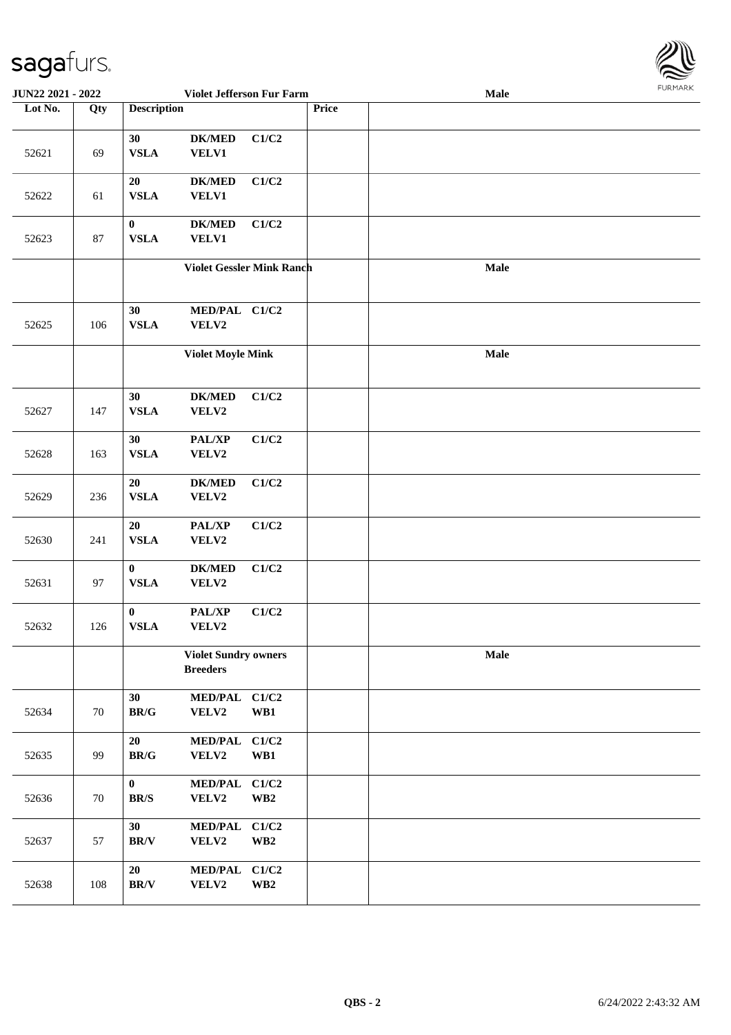

| <b>JUN22 2021 - 2022</b> |     |                                | Violet Jefferson Fur Farm                      |                                  |       | Male | 1.91111111 |
|--------------------------|-----|--------------------------------|------------------------------------------------|----------------------------------|-------|------|------------|
| Lot No.                  | Qty | <b>Description</b>             |                                                |                                  | Price |      |            |
| 52621                    | 69  | 30<br><b>VSLA</b>              | <b>DK/MED</b><br><b>VELV1</b>                  | C1/C2                            |       |      |            |
| 52622                    | 61  | $20\,$<br><b>VSLA</b>          | $DK/MED$<br><b>VELV1</b>                       | C1/C2                            |       |      |            |
| 52623                    | 87  | $\bf{0}$<br><b>VSLA</b>        | $DK/MED$<br><b>VELV1</b>                       | C1/C2                            |       |      |            |
|                          |     |                                | <b>Violet Gessler Mink Ranch</b>               |                                  |       | Male |            |
| 52625                    | 106 | 30<br><b>VSLA</b>              | MED/PAL C1/C2<br>VELV2                         |                                  |       |      |            |
|                          |     |                                | <b>Violet Moyle Mink</b>                       |                                  |       | Male |            |
| 52627                    | 147 | 30<br><b>VSLA</b>              | $DK/MED$<br>VELV2                              | C1/C2                            |       |      |            |
| 52628                    | 163 | 30<br><b>VSLA</b>              | PAL/XP<br>VELV2                                | C1/C2                            |       |      |            |
| 52629                    | 236 | 20<br><b>VSLA</b>              | $DK/MED$<br>VELV2                              | C1/C2                            |       |      |            |
| 52630                    | 241 | 20<br><b>VSLA</b>              | PAL/XP<br>VELV2                                | C1/C2                            |       |      |            |
| 52631                    | 97  | $\bf{0}$<br><b>VSLA</b>        | <b>DK/MED</b><br>VELV2                         | C1/C2                            |       |      |            |
| 52632                    | 126 | $\bf{0}$<br><b>VSLA</b>        | PAL/XP<br>VELV2                                | C1/C2                            |       |      |            |
|                          |     |                                | <b>Violet Sundry owners</b><br><b>Breeders</b> |                                  |       | Male |            |
| 52634                    | 70  | 30<br>$\mathbf{BR}/\mathbf{G}$ | MED/PAL C1/C2<br>VELV2                         | WB1                              |       |      |            |
| 52635                    | 99  | 20<br>$\mathbf{BR}/\mathbf{G}$ | <b>MED/PAL</b><br>VELV2                        | C1/C2<br>WB1                     |       |      |            |
| 52636                    | 70  | $\bf{0}$<br>BR/S               | <b>MED/PAL</b><br>VELV2                        | C1/C2<br>$\mathbf{W}\mathbf{B2}$ |       |      |            |
| 52637                    | 57  | 30<br>$\mathbf{BR}/\mathbf{V}$ | <b>MED/PAL</b><br>VELV2                        | C1/C2<br>$\mathbf{W}\mathbf{B2}$ |       |      |            |
| 52638                    | 108 | 20<br>$\mathbf{BR}/\mathbf{V}$ | <b>MED/PAL</b><br>VELV2                        | C1/C2<br>$\mathbf{W}\mathbf{B2}$ |       |      |            |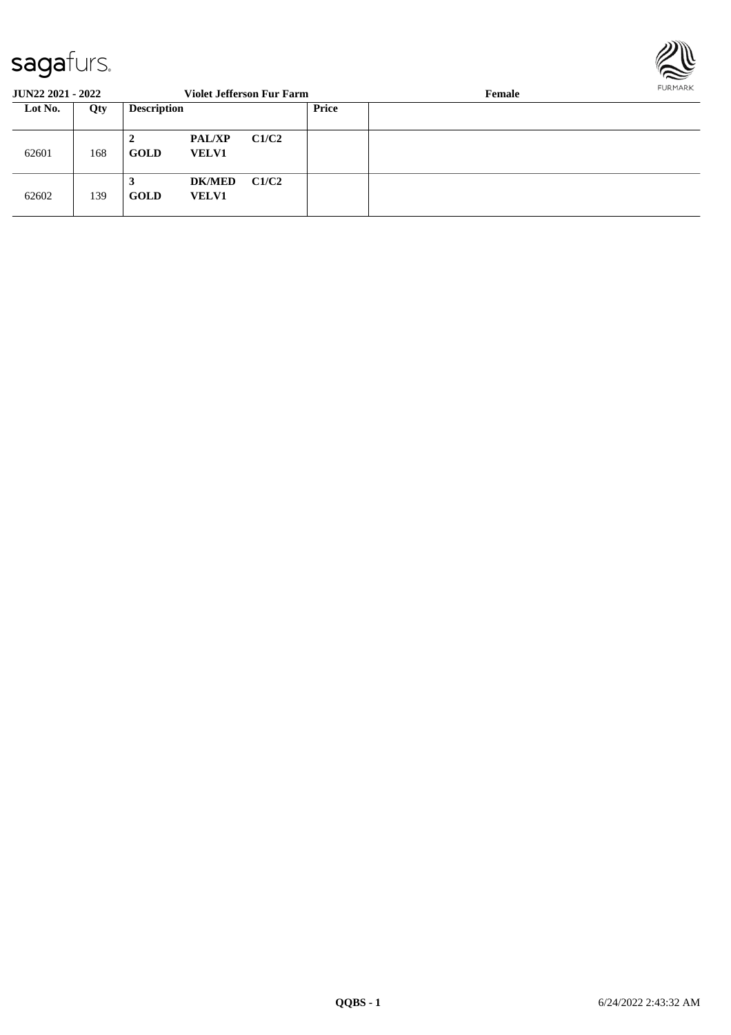

| <b>JUN22 2021 - 2022</b> |     |                                                   |                               | <b>Violet Jefferson Fur Farm</b> |       | <b>FURPIARR</b><br>Female |  |
|--------------------------|-----|---------------------------------------------------|-------------------------------|----------------------------------|-------|---------------------------|--|
| Lot No.                  | Qty | <b>Description</b>                                |                               |                                  | Price |                           |  |
| 62601                    | 168 | <b>PAL/XP</b><br>2<br><b>GOLD</b><br><b>VELV1</b> |                               | C1/C2                            |       |                           |  |
| 62602                    | 139 | 3<br><b>GOLD</b>                                  | <b>DK/MED</b><br><b>VELV1</b> | C1/C2                            |       |                           |  |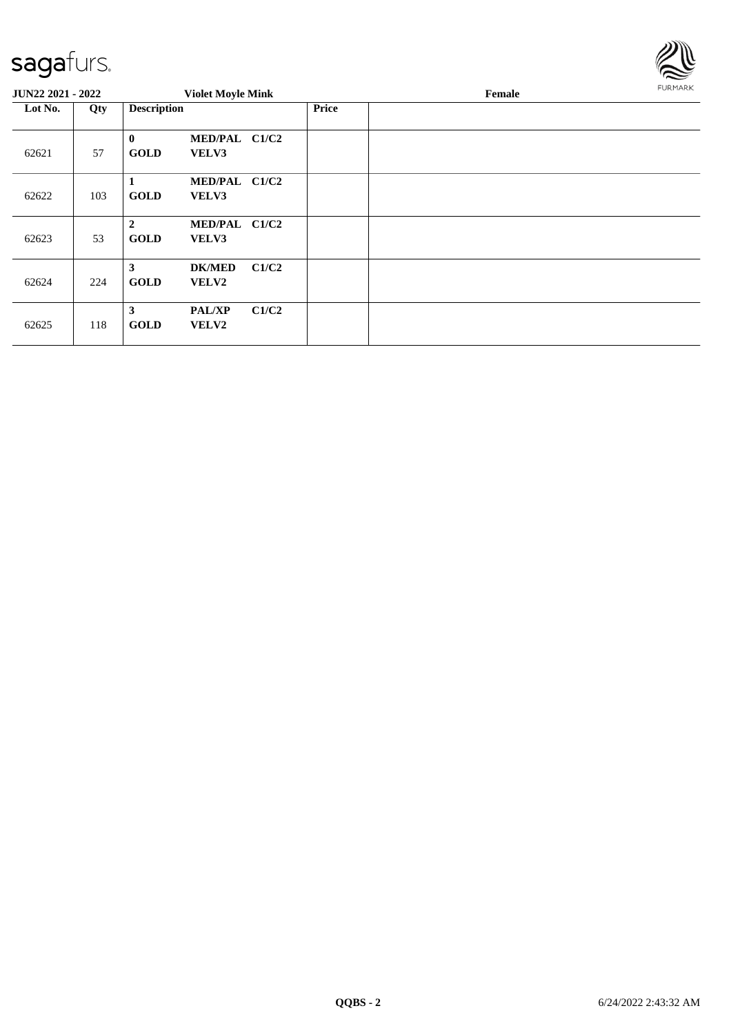

| <b>JUN22 2021 - 2022</b> |     |                               | <b>Violet Moyle Mink</b>      |       |              | Female | FURMARK |
|--------------------------|-----|-------------------------------|-------------------------------|-------|--------------|--------|---------|
| Lot No.                  | Qty | <b>Description</b>            |                               |       | <b>Price</b> |        |         |
| 62621                    | 57  | $\bf{0}$<br><b>GOLD</b>       | MED/PAL C1/C2<br><b>VELV3</b> |       |              |        |         |
| 62622                    | 103 | 1<br><b>GOLD</b>              | MED/PAL C1/C2<br><b>VELV3</b> |       |              |        |         |
| 62623                    | 53  | $\overline{2}$<br><b>GOLD</b> | MED/PAL C1/C2<br><b>VELV3</b> |       |              |        |         |
| 62624                    | 224 | 3<br><b>GOLD</b>              | <b>DK/MED</b><br><b>VELV2</b> | C1/C2 |              |        |         |
| 62625                    | 118 | $\mathbf{3}$<br><b>GOLD</b>   | <b>PAL/XP</b><br><b>VELV2</b> | C1/C2 |              |        |         |